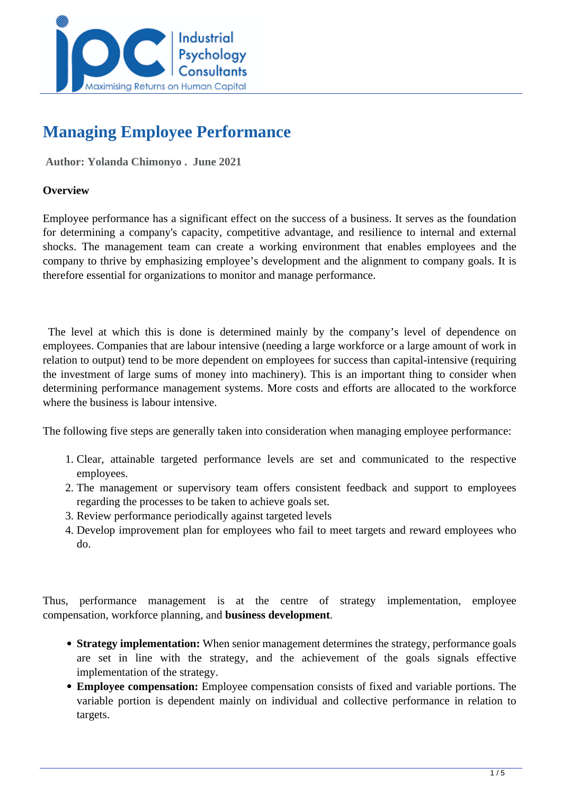

# **Managing Employee Performance**

 **Author: Yolanda Chimonyo . June 2021** 

## **Overview**

Employee performance has a significant effect on the success of a business. It serves as the foundation for determining a company's capacity, competitive advantage, and resilience to internal and external shocks. The management team can create a working environment that enables employees and the company to thrive by emphasizing employee's development and the alignment to company goals. It is therefore essential for organizations to monitor and manage performance.

 The level at which this is done is determined mainly by the company's level of dependence on employees. Companies that are labour intensive (needing a large workforce or a large amount of work in relation to output) tend to be more dependent on employees for success than capital-intensive (requiring the investment of large sums of money into machinery). This is an important thing to consider when determining performance management systems. More costs and efforts are allocated to the workforce where the business is labour intensive.

The following five steps are generally taken into consideration when managing employee performance:

- 1. Clear, attainable targeted performance levels are set and communicated to the respective employees.
- 2. The management or supervisory team offers consistent feedback and support to employees regarding the processes to be taken to achieve goals set.
- 3. Review performance periodically against targeted levels
- 4. Develop improvement plan for employees who fail to meet targets and reward employees who do.

Thus, performance management is at the centre of strategy implementation, employee compensation, workforce planning, and **business development**.

- **Strategy implementation:** When senior management determines the strategy, performance goals are set in line with the strategy, and the achievement of the goals signals effective implementation of the strategy.
- **Employee compensation:** Employee compensation consists of fixed and variable portions. The variable portion is dependent mainly on individual and collective performance in relation to targets.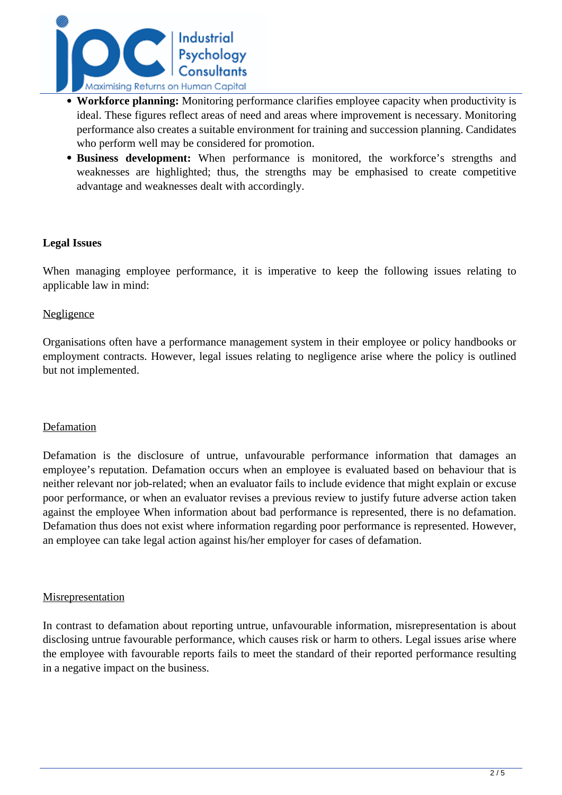

- **Workforce planning:** Monitoring performance clarifies employee capacity when productivity is ideal. These figures reflect areas of need and areas where improvement is necessary. Monitoring performance also creates a suitable environment for training and succession planning. Candidates who perform well may be considered for promotion.
- **Business development:** When performance is monitored, the workforce's strengths and weaknesses are highlighted; thus, the strengths may be emphasised to create competitive advantage and weaknesses dealt with accordingly.

## **Legal Issues**

When managing employee performance, it is imperative to keep the following issues relating to applicable law in mind:

#### **Negligence**

Organisations often have a performance management system in their employee or policy handbooks or employment contracts. However, legal issues relating to negligence arise where the policy is outlined but not implemented.

#### Defamation

Defamation is the disclosure of untrue, unfavourable performance information that damages an employee's reputation. Defamation occurs when an employee is evaluated based on behaviour that is neither relevant nor job-related; when an evaluator fails to include evidence that might explain or excuse poor performance, or when an evaluator revises a previous review to justify future adverse action taken against the employee When information about bad performance is represented, there is no defamation. Defamation thus does not exist where information regarding poor performance is represented. However, an employee can take legal action against his/her employer for cases of defamation.

#### **Misrepresentation**

In contrast to defamation about reporting untrue, unfavourable information, misrepresentation is about disclosing untrue favourable performance, which causes risk or harm to others. Legal issues arise where the employee with favourable reports fails to meet the standard of their reported performance resulting in a negative impact on the business.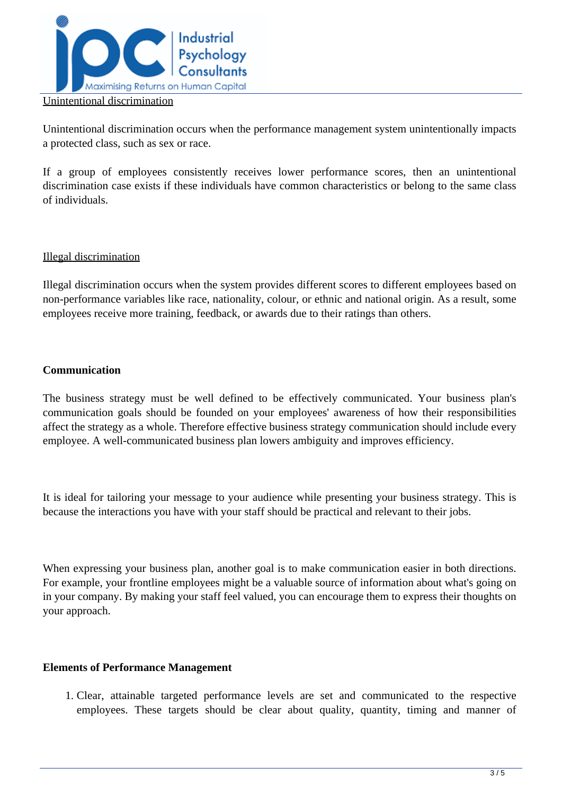

Unintentional discrimination occurs when the performance management system unintentionally impacts a protected class, such as sex or race.

If a group of employees consistently receives lower performance scores, then an unintentional discrimination case exists if these individuals have common characteristics or belong to the same class of individuals.

## Illegal discrimination

Illegal discrimination occurs when the system provides different scores to different employees based on non-performance variables like race, nationality, colour, or ethnic and national origin. As a result, some employees receive more training, feedback, or awards due to their ratings than others.

## **Communication**

The business strategy must be well defined to be effectively communicated. Your business plan's communication goals should be founded on your employees' awareness of how their responsibilities affect the strategy as a whole. Therefore effective business strategy communication should include every employee. A well-communicated business plan lowers ambiguity and improves efficiency.

It is ideal for tailoring your message to your audience while presenting your business strategy. This is because the interactions you have with your staff should be practical and relevant to their jobs.

When expressing your business plan, another goal is to make communication easier in both directions. For example, your frontline employees might be a valuable source of information about what's going on in your company. By making your staff feel valued, you can encourage them to express their thoughts on your approach.

## **Elements of Performance Management**

1. Clear, attainable targeted performance levels are set and communicated to the respective employees. These targets should be clear about quality, quantity, timing and manner of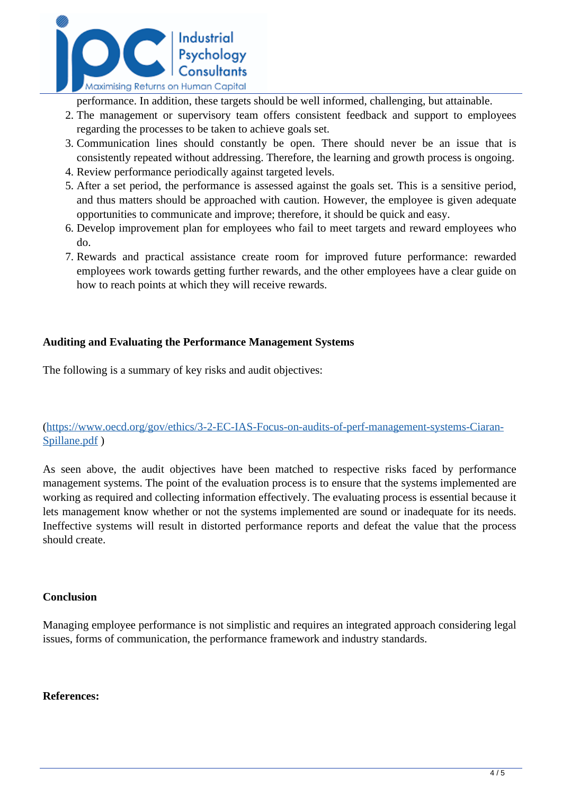

performance. In addition, these targets should be well informed, challenging, but attainable.

- 2. The management or supervisory team offers consistent feedback and support to employees regarding the processes to be taken to achieve goals set.
- 3. Communication lines should constantly be open. There should never be an issue that is consistently repeated without addressing. Therefore, the learning and growth process is ongoing.
- 4. Review performance periodically against targeted levels.
- 5. After a set period, the performance is assessed against the goals set. This is a sensitive period, and thus matters should be approached with caution. However, the employee is given adequate opportunities to communicate and improve; therefore, it should be quick and easy.
- 6. Develop improvement plan for employees who fail to meet targets and reward employees who do.
- 7. Rewards and practical assistance create room for improved future performance: rewarded employees work towards getting further rewards, and the other employees have a clear guide on how to reach points at which they will receive rewards.

# **Auditing and Evaluating the Performance Management Systems**

The following is a summary of key risks and audit objectives:

[\(https://www.oecd.org/gov/ethics/3-2-EC-IAS-Focus-on-audits-of-perf-management-systems-Ciaran-](https://www.oecd.org/gov/ethics/3-2-EC-IAS-Focus-on-audits-of-perf-management-systems-Ciaran-Spillane.pdf)Spillane.pdf)

As seen above, the audit objectives have been matched to respective risks faced by performance management systems. The point of the evaluation process is to ensure that the systems implemented are working as required and collecting information effectively. The evaluating process is essential because it lets management know whether or not the systems implemented are sound or inadequate for its needs. Ineffective systems will result in distorted performance reports and defeat the value that the process should create.

## **Conclusion**

Managing employee performance is not simplistic and requires an integrated approach considering legal issues, forms of communication, the performance framework and industry standards.

## **References:**